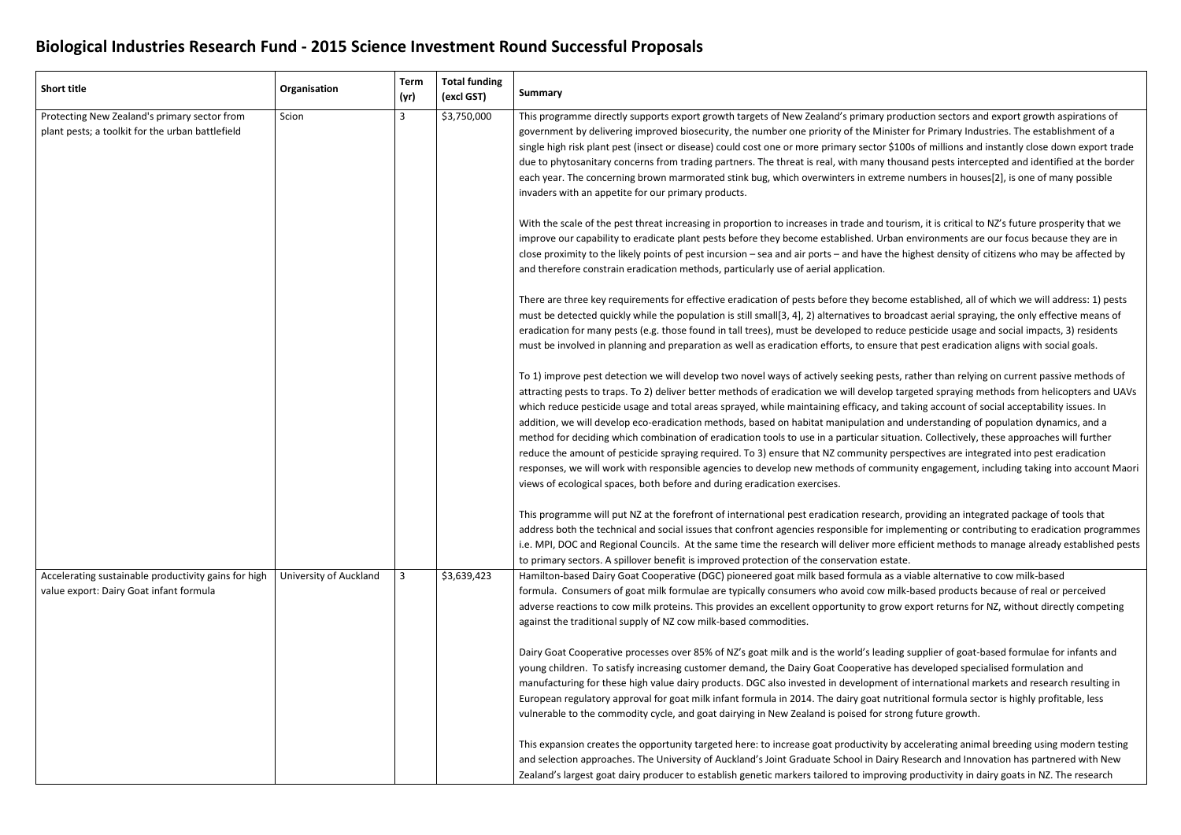## **Biological Industries Research Fund - 2015 Science Investment Round Successful Proposals**

| <b>Short title</b>                                                                               | Organisation           | <b>Term</b><br>(yr) | <b>Total funding</b><br>(excl GST) | <b>Summary</b>                                                                                                                                                                                                                                                                                                                                                                                                                                                                                                                                                                                                                                                                                                                             |
|--------------------------------------------------------------------------------------------------|------------------------|---------------------|------------------------------------|--------------------------------------------------------------------------------------------------------------------------------------------------------------------------------------------------------------------------------------------------------------------------------------------------------------------------------------------------------------------------------------------------------------------------------------------------------------------------------------------------------------------------------------------------------------------------------------------------------------------------------------------------------------------------------------------------------------------------------------------|
| Protecting New Zealand's primary sector from<br>plant pests; a toolkit for the urban battlefield | Scion                  | 3                   | \$3,750,000                        | This programme directly supports export growth targets of New Zealand's primary prodi<br>government by delivering improved biosecurity, the number one priority of the Minister<br>single high risk plant pest (insect or disease) could cost one or more primary sector \$100<br>due to phytosanitary concerns from trading partners. The threat is real, with many thous<br>each year. The concerning brown marmorated stink bug, which overwinters in extreme i<br>invaders with an appetite for our primary products.                                                                                                                                                                                                                  |
|                                                                                                  |                        |                     |                                    | With the scale of the pest threat increasing in proportion to increases in trade and touris<br>improve our capability to eradicate plant pests before they become established. Urban $\epsilon$<br>close proximity to the likely points of pest incursion - sea and air ports - and have the hi<br>and therefore constrain eradication methods, particularly use of aerial application.                                                                                                                                                                                                                                                                                                                                                    |
|                                                                                                  |                        |                     |                                    | There are three key requirements for effective eradication of pests before they become<br>must be detected quickly while the population is still small[3, 4], 2) alternatives to broad<br>eradication for many pests (e.g. those found in tall trees), must be developed to reduce<br>must be involved in planning and preparation as well as eradication efforts, to ensure th                                                                                                                                                                                                                                                                                                                                                            |
|                                                                                                  |                        |                     |                                    | To 1) improve pest detection we will develop two novel ways of actively seeking pests, ra<br>attracting pests to traps. To 2) deliver better methods of eradication we will develop targ<br>which reduce pesticide usage and total areas sprayed, while maintaining efficacy, and ta<br>addition, we will develop eco-eradication methods, based on habitat manipulation and u<br>method for deciding which combination of eradication tools to use in a particular situation<br>reduce the amount of pesticide spraying required. To 3) ensure that NZ community pers<br>responses, we will work with responsible agencies to develop new methods of communi<br>views of ecological spaces, both before and during eradication exercises. |
|                                                                                                  |                        |                     |                                    | This programme will put NZ at the forefront of international pest eradication research, p<br>address both the technical and social issues that confront agencies responsible for imple<br>i.e. MPI, DOC and Regional Councils. At the same time the research will deliver more eff<br>to primary sectors. A spillover benefit is improved protection of the conservation estate.                                                                                                                                                                                                                                                                                                                                                           |
| Accelerating sustainable productivity gains for high<br>value export: Dairy Goat infant formula  | University of Auckland | 3                   | \$3,639,423                        | Hamilton-based Dairy Goat Cooperative (DGC) pioneered goat milk based formula as a v<br>formula. Consumers of goat milk formulae are typically consumers who avoid cow milk-<br>adverse reactions to cow milk proteins. This provides an excellent opportunity to grow e<br>against the traditional supply of NZ cow milk-based commodities.                                                                                                                                                                                                                                                                                                                                                                                               |
|                                                                                                  |                        |                     |                                    | Dairy Goat Cooperative processes over 85% of NZ's goat milk and is the world's leading s<br>young children. To satisfy increasing customer demand, the Dairy Goat Cooperative has<br>manufacturing for these high value dairy products. DGC also invested in development of<br>European regulatory approval for goat milk infant formula in 2014. The dairy goat nutriti<br>vulnerable to the commodity cycle, and goat dairying in New Zealand is poised for strong                                                                                                                                                                                                                                                                       |
|                                                                                                  |                        |                     |                                    | This expansion creates the opportunity targeted here: to increase goat productivity by a<br>and selection approaches. The University of Auckland's Joint Graduate School in Dairy Re<br>Zealand's largest goat dairy producer to establish genetic markers tailored to improving                                                                                                                                                                                                                                                                                                                                                                                                                                                           |

production sectors and export growth aspirations of ister for Primary Industries. The establishment of a \$100s of millions and instantly close down export trade thousand pests intercepted and identified at the border eme numbers in houses[2], is one of many possible

tourism, it is critical to NZ's future prosperity that we ban environments are our focus because they are in he highest density of citizens who may be affected by

ome established, all of which we will address: 1) pests proadcast aerial spraying, the only effective means of luce pesticide usage and social impacts, 3) residents re that pest eradication aligns with social goals.

sts, rather than relying on current passive methods of p targeted spraying methods from helicopters and UAVs nd taking account of social acceptability issues. In and understanding of population dynamics, and a tuation. Collectively, these approaches will further perspectives are integrated into pest eradication munity engagement, including taking into account Maori

ch, providing an integrated package of tools that mplementing or contributing to eradication programmes re efficient methods to manage already established pests

as a viable alternative to cow milk-based milk-based products because of real or perceived ow export returns for NZ, without directly competing

ding supplier of goat-based formulae for infants and has developed specialised formulation and nt of international markets and research resulting in utritional formula sector is highly profitable, less trong future growth.

by accelerating animal breeding using modern testing iry Research and Innovation has partnered with New ving productivity in dairy goats in NZ. The research